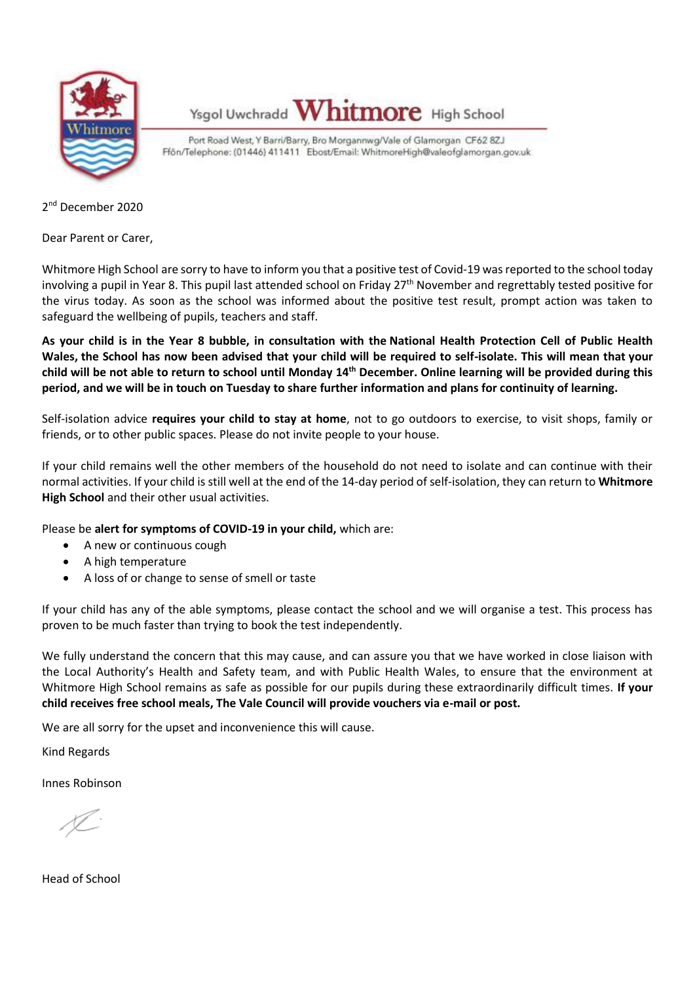

Ysgol Uwchradd Whitmore High School

Port Road West, Y Barri/Barry, Bro Morgannwg/Vale of Glamorgan CF62 8ZJ Ffön/Telephone: (01446) 411411 Ebost/Email: WhitmoreHigh@valeofglamorgan.gov.uk

2 nd December 2020

Dear Parent or Carer,

Whitmore High School are sorry to have to inform you that a positive test of Covid-19 was reported to the school today involving a pupil in Year 8. This pupil last attended school on Friday 27<sup>th</sup> November and regrettably tested positive for the virus today. As soon as the school was informed about the positive test result, prompt action was taken to safeguard the wellbeing of pupils, teachers and staff.

**As your child is in the Year 8 bubble, in consultation with the National Health Protection Cell of Public Health Wales, the School has now been advised that your child will be required to self-isolate. This will mean that your**  child will be not able to return to school until Monday 14<sup>th</sup> December. Online learning will be provided during this **period, and we will be in touch on Tuesday to share further information and plans for continuity of learning.**

Self-isolation advice **requires your child to stay at home**, not to go outdoors to exercise, to visit shops, family or friends, or to other public spaces. Please do not invite people to your house.

If your child remains well the other members of the household do not need to isolate and can continue with their normal activities. If your child is still well at the end of the 14-day period of self-isolation, they can return to **Whitmore High School** and their other usual activities.

Please be **alert for symptoms of COVID-19 in your child,** which are:

- A new or continuous cough
- A high temperature
- A loss of or change to sense of smell or taste

If your child has any of the able symptoms, please contact the school and we will organise a test. This process has proven to be much faster than trying to book the test independently.

We fully understand the concern that this may cause, and can assure you that we have worked in close liaison with the Local Authority's Health and Safety team, and with Public Health Wales, to ensure that the environment at Whitmore High School remains as safe as possible for our pupils during these extraordinarily difficult times. **If your child receives free school meals, The Vale Council will provide vouchers via e-mail or post.**

We are all sorry for the upset and inconvenience this will cause.

Kind Regards

Innes Robinson

Head of School